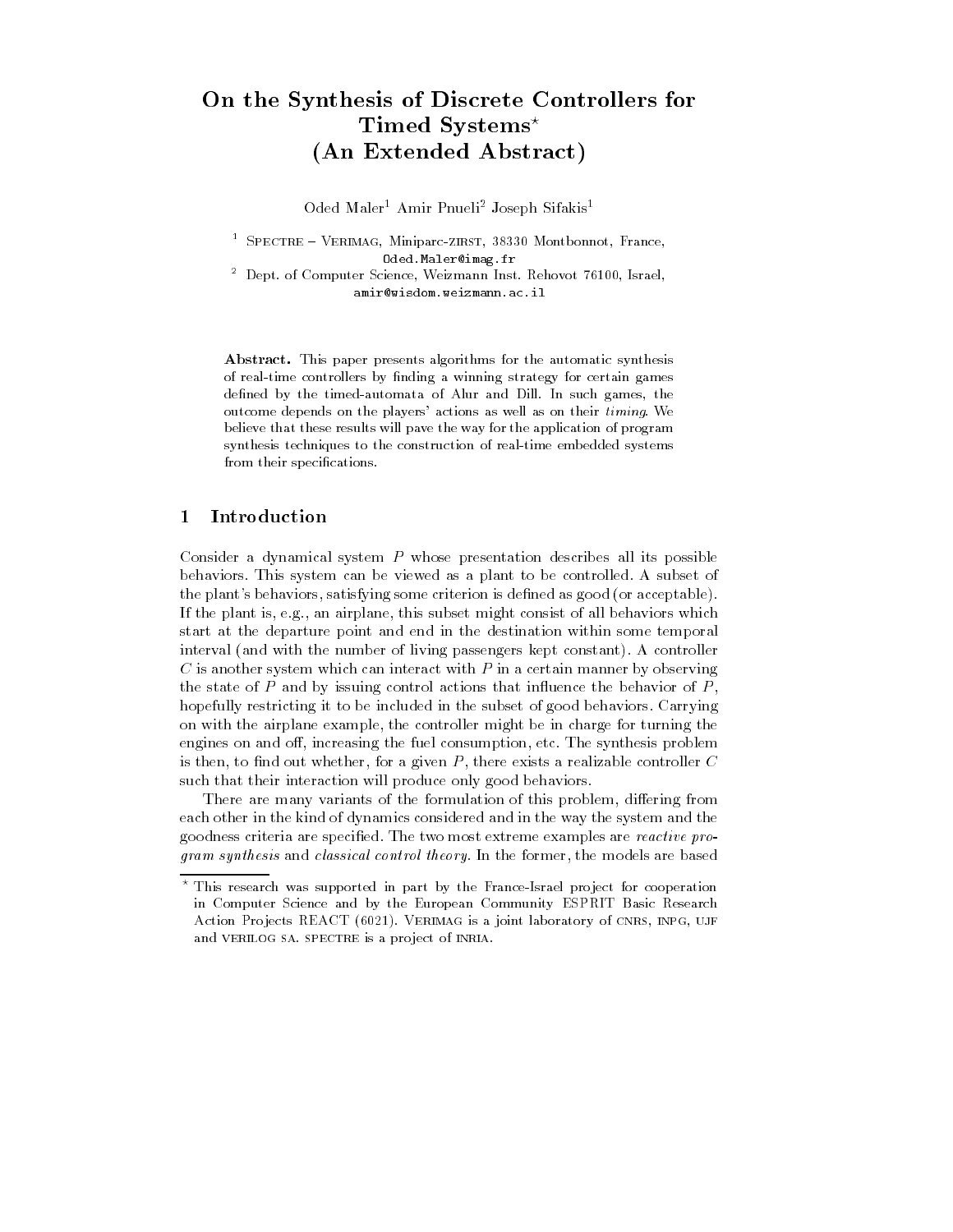# On the Synthesis of Discrete Controllers for Timed Systems -An Extended Abstract

Oded Maler Amir Pnueli- Joseph Sifakis

\* SPECTRE — VERIMAG, Miniparc-ZIRST, 38330 Montbonnot, France, ... Oded-Malerimag-fr

- Dept of Computer Science Weizmann Inst Rehovot Israel

Abstract- This paper presents algorithms for the automatic synthesis of real-time controllers by nding a winning strategy for certain games automata of the times automatic section and and and and and and the outcome depends on the players' actions as well as on their timing. We believe that these results will pave the way for the application of program synthesis techniques to the construction of real-time embedded systems from the control of the control of the control of the control of the control of the control of the control of the control of the control of the control of the control of the control of the control of the control of the con

#### Introduction

Consider a dynamical system <sup>P</sup> whose presentation describes all its possible  $\mathcal{A}$  system can be viewed as a plant to be controlled-definition of  $\mathcal{A}$ the plant's behaviors, satisfying some criterion is defined as good (or acceptable). If the plant is e-definition is e-definition of all behaviors which consists of all behaviors which consists of a start at the departure point and end in the destination within some temporal interval and with the number of living passengers kept constant- A controller C is another system which can interact with <sup>P</sup> in a certain manner by observing the state of  $P$  and by issuing control actions that influence the behavior of  $P$ , hopefully restricting it to be included in the subset of good behaviors- Carrying on with the airplane example, the controller might be in charge for turning the engines on and o increasing the fuel consumption etc- The synthesis problem is then, to find out whether, for a given  $P$ , there exists a realizable controller  $C$ such that their interaction will produce only good behaviors.

There are many variants of the formulation of this problem, differing from each other in the kind of dynamics considered and in the way the system and the goodness criteria are specied- The two most extreme examples are reactive program synthesis and controlled theory-control theory-theory-theory-theory-theory-theory-theory-

 $^{\circ}$  lins research was supported in part by the France-israel project for cooperation  $^{\circ}$ in Computer Science and by the European Community ESPRIT Basic Research Action Projects REACT (6021). VERIMAG is a joint laboratory of CNRS, INPG, UJF and VERILOG SA. SPECTRE is a project of INRIA.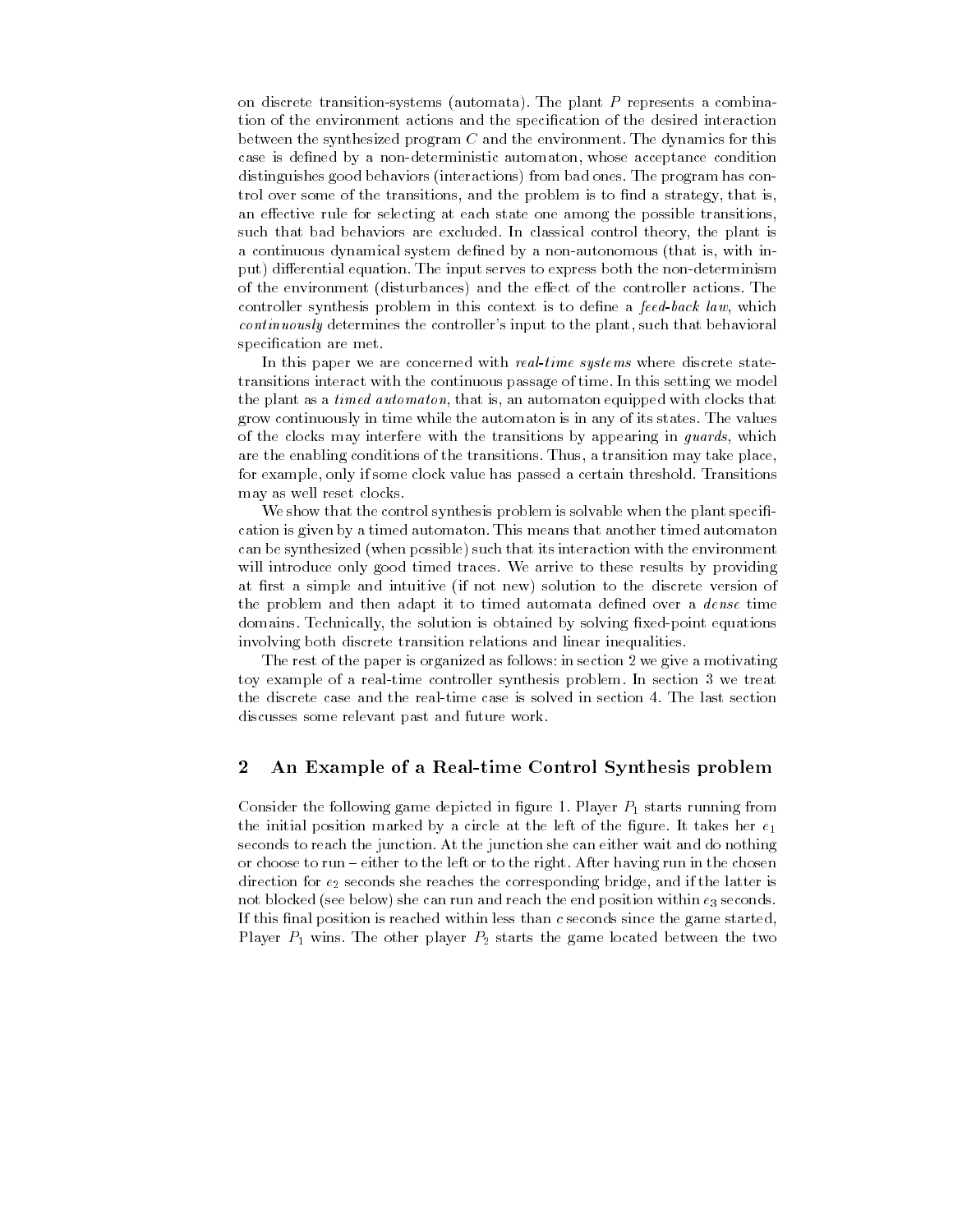on discrete transition systems (watomata). The plant I represents a computing tion of the environment actions and the specification of the desired interaction between the synthesized program  $C$  and the environment-rice dynamics for this case is dened by a non deterministic automaton whose acceptance condition distinguishes good behaviors interactions from bad ones- The program has con trol over some of the transitions, and the problem is to find a strategy, that is, an effective rule for selecting at each state one among the possible transitions. such that bad behaviors are excluded-in control theory theory the plant is a continuous dynamical system diameter of a non-autonomous (that is with in put, put the interest equation of the input serves to express to express the non-terminismum of the nonof the environment (disturbances) which the control the extractions-disturbance actionscontroller synthesis problem in this context is to denet a feed-spectrum is the state of continuously determines the controller's input to the plant, such that behavioral specification are met.

this this paper we are concerned with real-concerned systems where modern states transitions interact with the continuous passage of time- In this setting we model the plant as a *timed automaton*, that is, an automaton equipped with clocks that  $\mathbf r$  in time while the automaton is in any of its states-states-states-states-states-states-states-states-states-states-states-states-states-states-states-states-states-states-states-states-states-states-states-states-s of the clocks may interfere with the transitions by appearing in guards, which are the enabling conditions of the transitions- Thus a transition may take place for example only if some clock value has passed a certain threshold- Transitions may as well reset clocks.

We show that the control synthesis problem is solvable when the plant specification is given by a timed automaton- This means that another timed automaton can be synthesized (when possible) such that its interaction with the environment will introduce only good time distribution to the second traces-to-these results by providing these results by providing the second tracesat first a simple and intuitive (if not new) solution to the discrete version of the problem and then adapt it to timed automata defined over a *dense* time domains- technically the solution is obtained by solving method point equations to involving both discrete transition relations and linear inequalities-

The rest of the paper is organized as follows: in section 2 we give a motivating toy example of a real time controller synthesis problem- In section 
 we treat discusses some relevant past and future work-

#### $\overline{2}$ An Example of a Real-time Control Synthesis problem

Consider the following game depicted in gure - Player P starts running from  $\mathbf{u}$  interact position marked by a circle at the left of the game. It takes her  $\mathbf{v}_1$ seconds to reach the junction- At the junction she can either wait and do nothing or choose to run to chose the left or the right-the chosen  $\pi$  and the chosen  $\pi$ direction for e<sub>2</sub> seconds she reaches the corresponding strage, and if the latter is not blocked (see below) she can run and reach the end position within  $e_3$  seconds. If this final position is reached within less than c seconds since the game started, rayer P winst rue cancel player P starts the game located between the two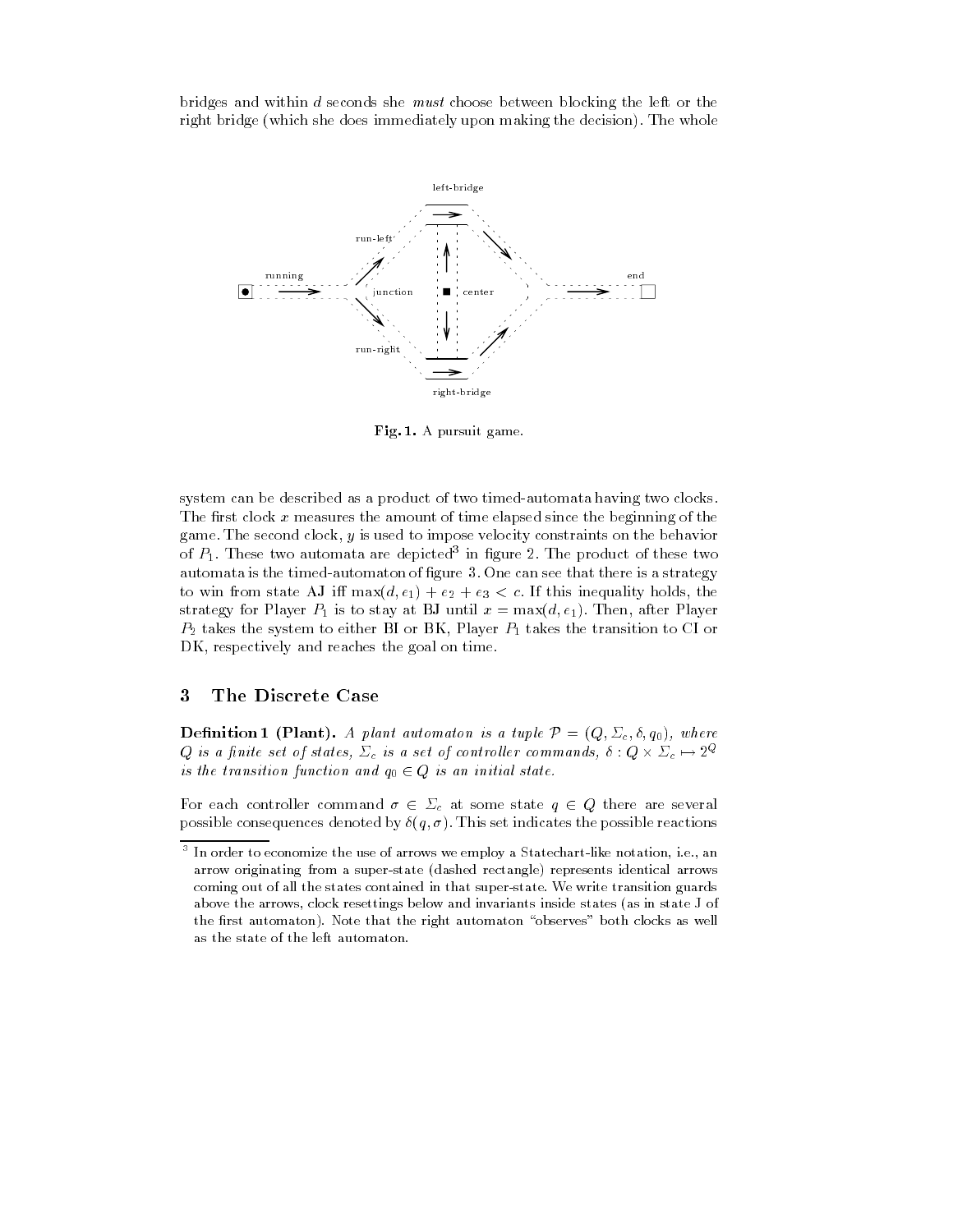bridges and within <sup>d</sup> seconds she must choose between blocking the left or the right bridge which she does immediately upon making the decision- The whole



Fig- - A pursuit game

system can be described as a product of two timed automata having two clocks-The first clock x measures the amount of time elapsed since the beginning of the game- The second clock <sup>y</sup> is used to impose velocity constraints on the behavior of  $P_1$  . These two automata are depicted the figure 2. The product of these two  $\blacksquare$ automata is the timed automaton of gure 
- One can see that there is a strategy to win from state  $A$ J in max $(u, \epsilon_1)$   $\mp$   $\epsilon_2$   $\mp$   $\epsilon_3$   $\lt$   $\epsilon$ . If this inequality holds, the strategy for Flayer  $P_1$  is to stay at BJ until  $x = \max(a, e_1)$ . Then, after Flayer  $\mathcal{L}_2$  takes the system to either BI or BR ray or  $\mathcal{L}_1$  takes the transition to CI or DK, respectively and reaches the goal on time.

### The Discrete Case

**Definition 1 (Plant).** A plant automaton is a tuple  $\mathcal{P} = (Q, \Sigma_c, \delta, q_0)$ , where  $Q$  is a finite set of states,  $\Sigma_c$  is a set of controller commands,  $\delta: Q \times \Sigma_c \mapsto 2^Q$ is the transition function and  $q_0 \in Q$  is an initial state.

For each controller command  $\sigma \in \Sigma_c$  at some state  $q \in Q$  there are several  $p$ ossible consequences denoted by  $v(q, \sigma)$ . This set indicates the possible reactions

 $^\circ$  In order to economize the use of arrows we employ a Statechart-like notation, i.e., an arrow originating from a super-state dashed rectangle represents identical arrows coming out as an the states communication in that super-states we we write the guards above the arrows, clock resettings below and invariants inside states (as in state J of the rst automaton Note that the right automaton observes both clocks as well as the state of the left automaton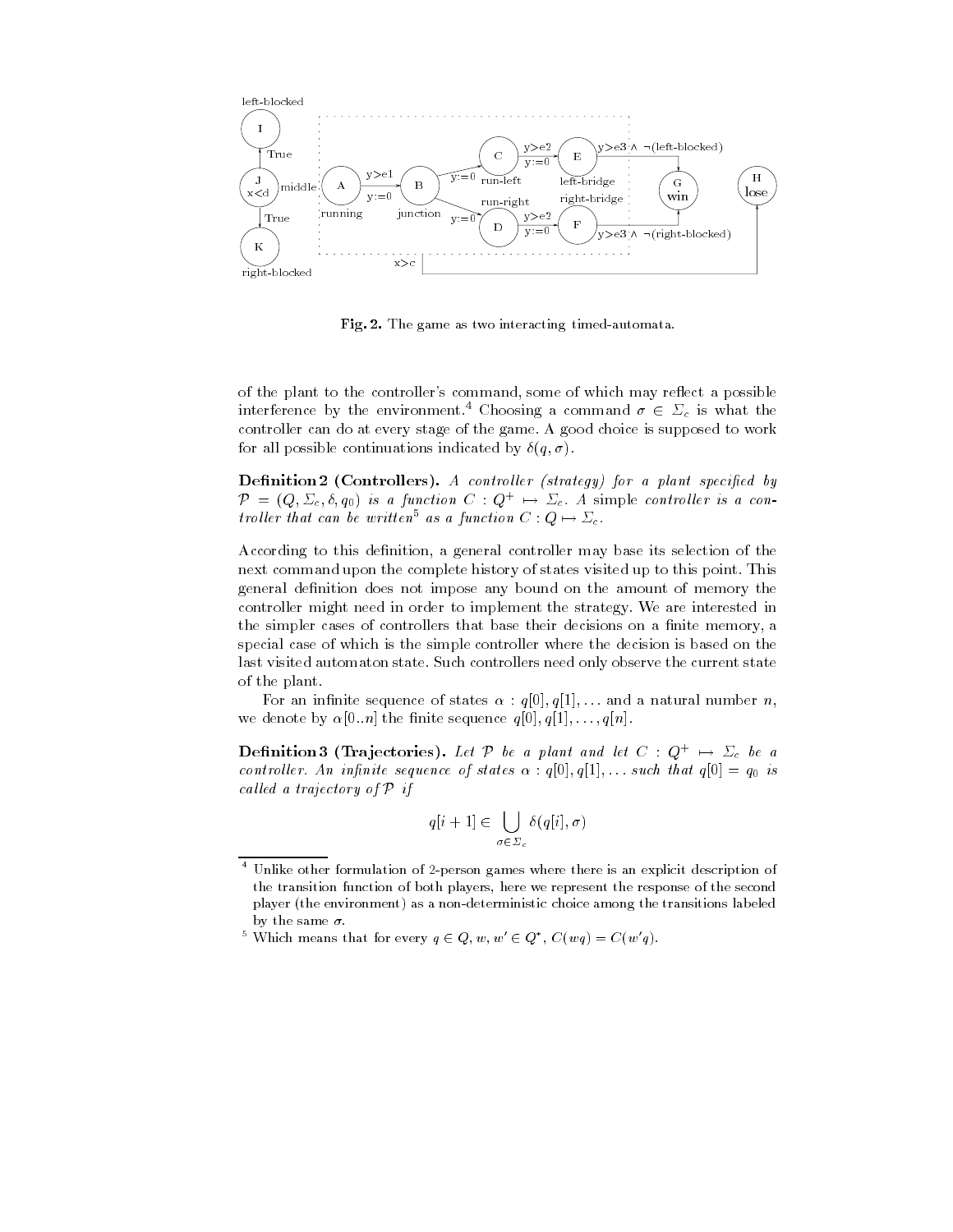

Fig- - The game as two interacting timed-automata

of the plant to the controller's command, some of which may reflect a possible interference by the environment.<sup>4</sup> Choosing a command  $\sigma \in \Sigma_c$  is what the controller can do at every stage of the game-to get a choice is supposed to work for an possible continuations indicated by  $\sigma(q,\sigma)$ .

De-nition Controllers A control ler strategy for a plant specied by  $\mathcal{P} = (Q, \Sigma_c, \delta, q_0)$  is a function  $C : Q^+ \mapsto \Sigma_c$ . A simple controller is a controller that can be written<sup>5</sup> as a function  $C: Q \mapsto \Sigma_c$ .

According to this definition, a general controller may base its selection of the next community of states visited upon the complete history of states visited up to this pointgeneral definition does not impose any bound on the amount of memory the controller might need in order to implement the strategy-to-implement the strategy-to-implement the strategy-t the simpler cases of controllers that base their decisions on a finite memory, a special case of which is the simple controller where the decision is based on the last visited automaton state- Such controllers need only observe the current state of the plant-

For an immersequence of states  $\alpha$  ,  $q_{\{0\}}, q_{\{1\}}, \ldots$  and a natural number  $n$ , we denote by  $\alpha|0...n|$  the nature sequence  $q|0|, q|1|, \ldots, q|n|$ .

**Definition 3 (Trajectories).** Let P be a plant and let  $C: Q^+ \mapsto \Sigma_c$  be a controller. An infinite sequence of states  $\alpha$  ,  $q_{\{0\},q+1},\ldots$  such that  $q_{\{0\}}=q_{0}$  is called a trajectory of  $\mathcal P$  if

$$
q[i+1] \in \bigcup_{\sigma \in \Sigma_c} \delta(q[i], \sigma)
$$

 $^\circ$  Unlike other formulation of 2-person games where there is an explicit description of the transition function of both players here we represent the response of the second player (the environment) as a non-environment as anon-environment the transitions labeled by the same  $\sigma$ .

Which means that for every  $q \in Q$ ,  $w, w \in Q$ ,  $C(wq) = C(wq)$ .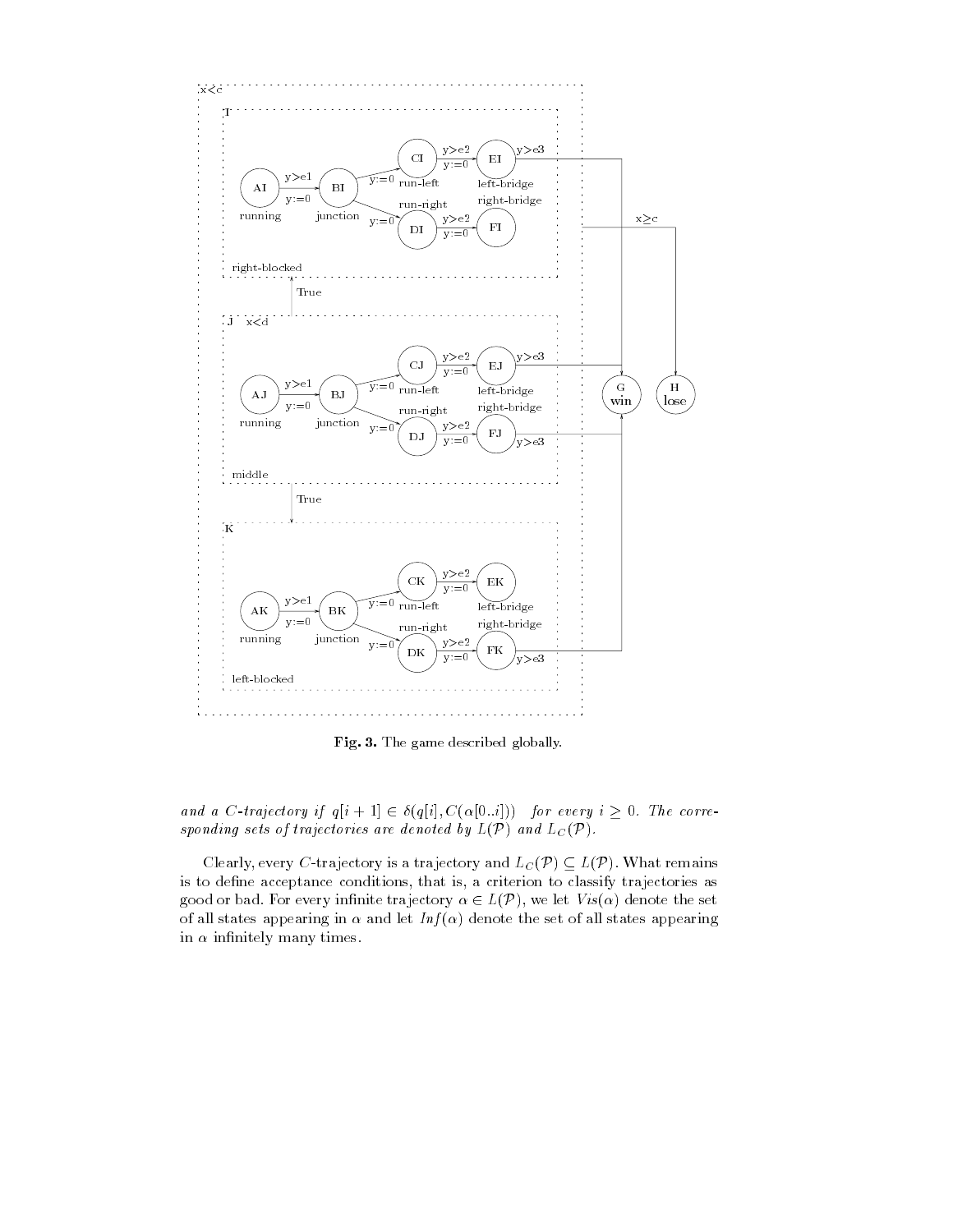

Fig- - The game described globally

and a C-trajectory if  $q[i+1] \in \delta(q[i], C(\alpha[0..i]))$  for every  $i > 0$ . The corresponding sets of trajectories are denoted by  $L(\mathcal{P})$  and  $L_C(\mathcal{P})$ .

Clearly, every C-trajectory is a trajectory and  $L_C(\mathcal{P}) \subseteq L(\mathcal{P})$ . What remains is to define acceptance conditions, that is, a criterion to classify trajectories as good or bad. For every infinite trajectory  $\alpha \in L(\mathcal{P})$ , we let  $Vis(\alpha)$  denote the set of all states appearing in  $\alpha$  and let  $Inf(\alpha)$  denote the set of all states appearing in  $\alpha$  infinitely many times.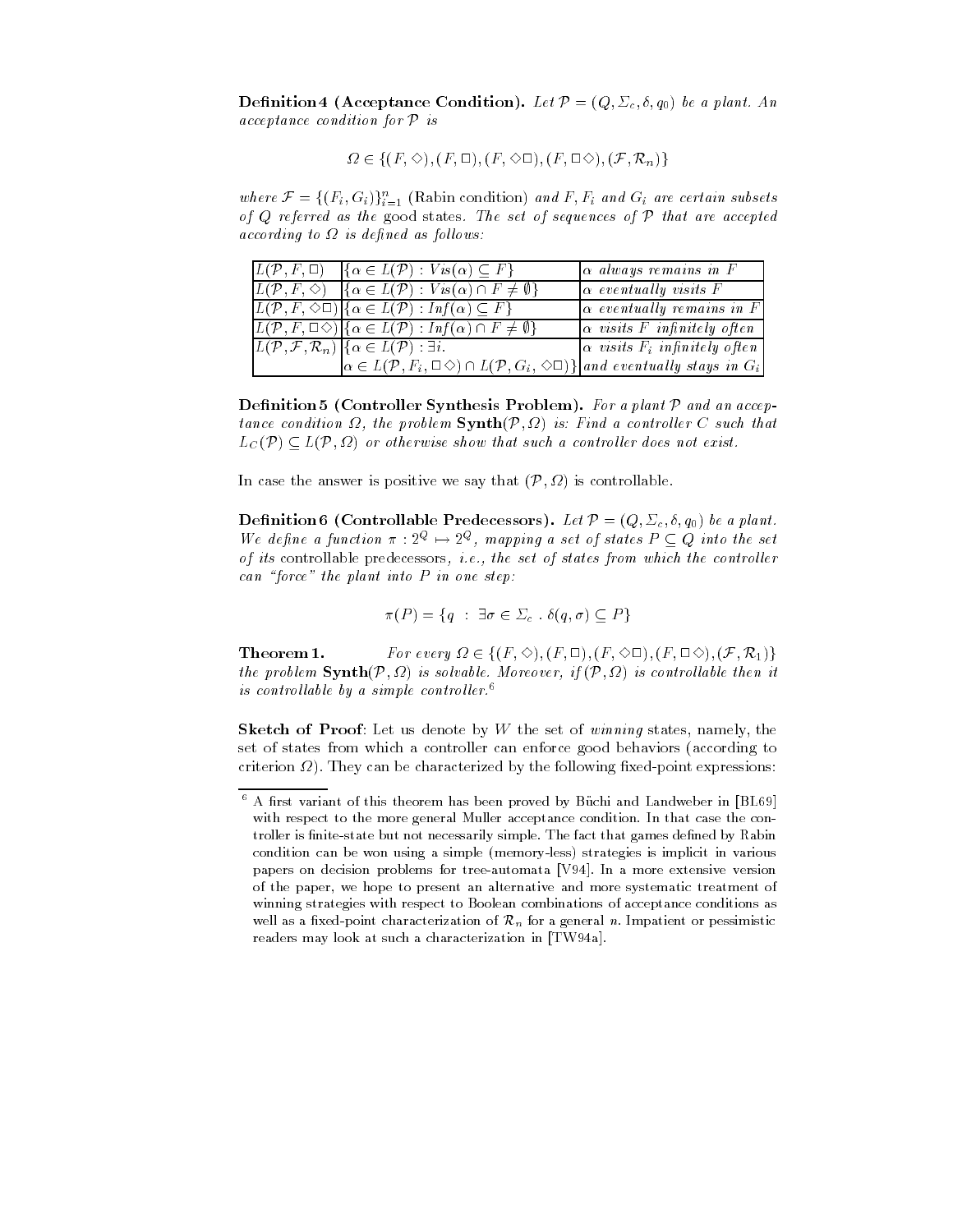**Definition 4** (Acceptance Condition). Let  $\mathcal{P} = (Q, \Sigma_c, \delta, q_0)$  be a plant. An acceptance condition for  $P$  is<br>  $\Omega \in \{ (F, \diamondsuit) , (F, \diamondsuit) \}$ 

$$
\Omega \in \{ (F, \diamondsuit), (F, \square), (F, \diamondsuit \square), (F, \square \diamondsuit), (\mathcal{F}, \mathcal{R}_n) \}
$$

where  $\mathcal{F} = \{(F_i, G_i)\}_{i=1}^n$  (Rabin condition) and F,  $F_i$  and  $G_i$  are certain subsets of  $Q$  referred as the good states. The set of sequences of  $P$  that are accepted according to  $\Omega$  is defined as follows:

| $ L(\mathcal{P}, F, \Box)  \{ \alpha \in L(\mathcal{P}) : Vis(\alpha) \subseteq F \}$                                 | $\alpha$ always remains in F           |
|-----------------------------------------------------------------------------------------------------------------------|----------------------------------------|
| $ L(\mathcal{P}, F, \diamond)  \leq \{\alpha \in L(\mathcal{P}) : Vis(\alpha) \cap F \neq \emptyset\}.$               | $\alpha$ eventually visits F           |
| $[L(\mathcal{P}, F, \Diamond \Box)]$ { $\alpha \in L(\mathcal{P})$ : Inf( $\alpha$ ) $\subseteq F$ }                  | $\alpha$ eventually remains in F       |
| $\left[L(\mathcal{P}, F, \Box \Diamond)\right] \{\alpha \in L(\mathcal{P}) : Inf(\alpha) \cap F \neq \emptyset\}$     | $\alpha$ visits F infinitely often     |
| $\overline{L(\mathcal{P}, \mathcal{F}, \mathcal{R}_n)}\big \{\alpha \in L(\mathcal{P}) : \exists i.$                  | $\alpha$ visits $F_i$ infinitely often |
| $\alpha \in L(\mathcal{P}, F_i, \Box \Diamond) \cap L(\mathcal{P}, G_i, \Diamond \Box)$ and eventually stays in $G_i$ |                                        |

**Definition 5** (Controller Synthesis Problem). For a plant  $\mathcal{P}$  and an acceptance condition  $\Omega$ , the problem  $\text{Synth}(\mathcal{P}, \Omega)$  is: Find a controller C such that  $L_C(\mathcal{P}) \subseteq L(\mathcal{P}, \Omega)$  or otherwise show that such a controller does not exist.

In case the answer is positive we say that  $(\mathcal{P}, \Omega)$  is controllable.

**Definition 6** (Controllable Predecessors). Let  $\mathcal{P} = (Q, \Sigma_c, \delta, q_0)$  be a plant. We define a function  $\pi : 2^Q \mapsto 2^Q$ , mapping a set of states  $P \subseteq Q$  into the set of its controllable predecessors, i.e., the set of states from which the controller can force the plant theo I the one step.

$$
\pi(P) = \{ q \ : \ \exists \sigma \in \Sigma_c \ : \delta(q, \sigma) \subseteq P \}
$$

 $\pi(P)=\{q\;:\;\exists \sigma\in \varSigma_c\;.\;\delta(q,\sigma)\subseteq P\}$ <br>  $\textbf{Theorem 1.} \hspace{1cm} \textit{For every $\Omega\in\{(F,\diamondsuit),(F,\Box),(F,\diamondsuit\Box),(F,\Box\diamond),(\mathcal{F},\mathcal{R}_1)$}\}$ the problem  $\text{Synth}(\mathcal{P}, \Omega)$  is solvable. Moreover, if  $(\mathcal{P}, \Omega)$  is controllable then it is controllable by a simple controller.<sup>6</sup>

**Sketch of Proof**: Let us denote by W the set of winning states, namely, the set of states from which a controller can enforce good behaviors (according to criterials of  $\mu$  and come we characterized by the following mich point expressions.

 $^\circ$  A first variant of this theorem has been proved by Buchi and Landweber in  $|{\rm BLb}9|$ with respect to the more general Muller acceptance condition In that case the controller is nite-state but not necessarily simple The fact that games de ned by Rabin condition can be won using a simple memory-less strategies is implicit in various papers on decision problems for tree-automata V In a more extensive version of the paper we hope to present an alternative and more systematic treatment of winning strategies with respect to Boolean combinations of acceptance conditions as we as a dimension of  $\alpha$  and  $\alpha$  and  $\alpha$  are  $\alpha$  and  $\alpha$  are  $\alpha$  and  $\alpha$  and  $\alpha$  are  $\alpha$   $\alpha$  and  $\alpha$  and  $\alpha$ readers may look at such a characterization in [TW94a].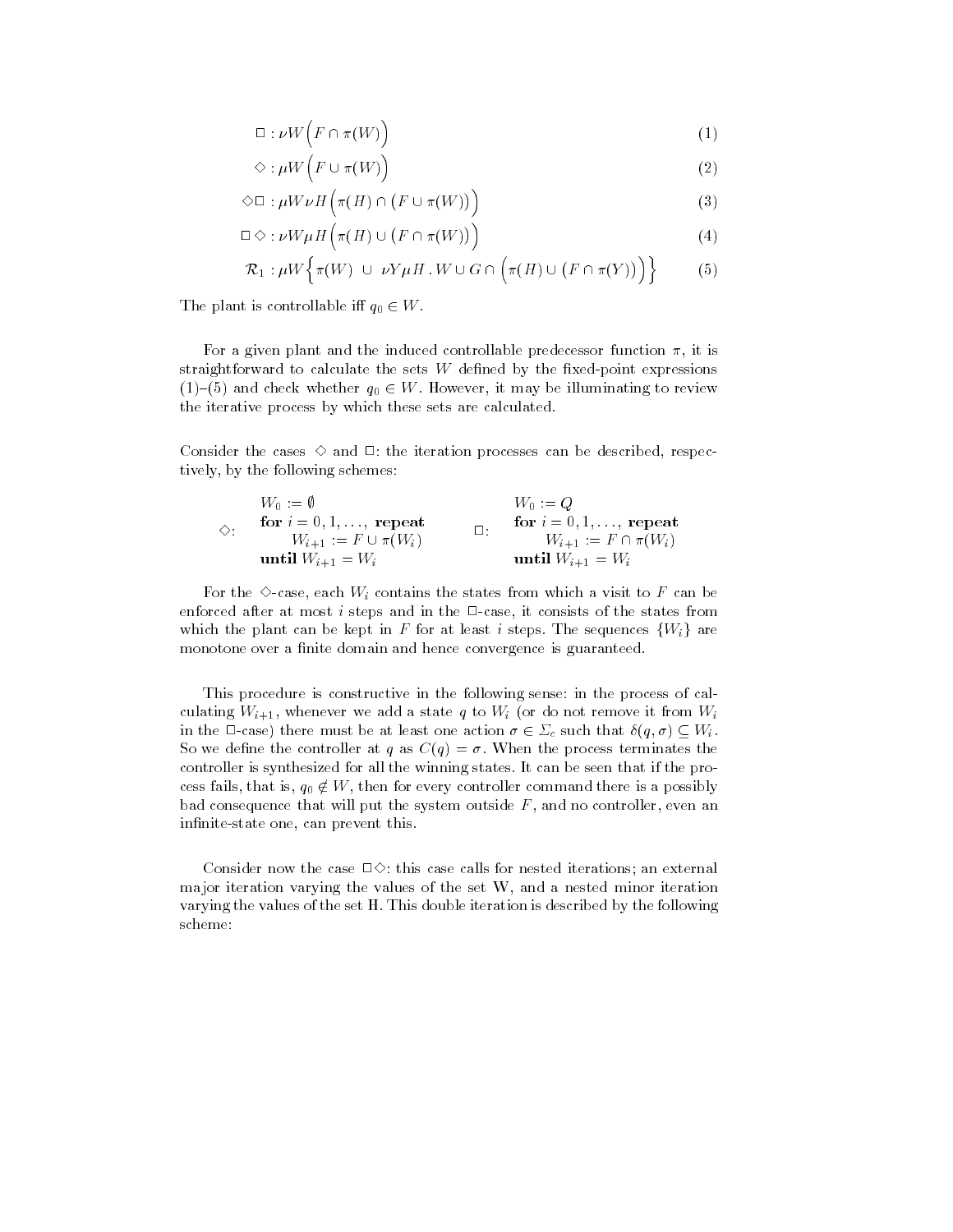$$
\Box: \nu W\Bigl(F \cap \pi(W)\Bigr) \tag{1}
$$

$$
\diamondsuit: \mu W\Bigl(F \cup \pi(W)\Bigr) \tag{2}
$$

$$
\Diamond \Box : \mu W\nu H \Big( \pi(H) \cap \big( F \cup \pi(W) \big) \Big) \tag{3}
$$

$$
\Box \Diamond : \nu W \mu H \big( \pi(H) \cup (F \cap \pi(W)) \big) \tag{4}
$$

$$
\mathcal{R}_1: \mu W \Big\{ \pi(W) \ \cup \ \nu Y \mu H \ . \ W \cup G \cap \Big( \pi(H) \cup (F \cap \pi(Y)) \Big) \Big\} \tag{5}
$$

The plant is controllable iff  $q_0 \in W$ .

for a given plant and the induced controllable predecessor function  $\eta$  is is straightforward to calculate the sets <sup>W</sup> dened by the xed point expressions  $(1)$ –(5) and check whether  $q_0 \in W$ . However, it may be illuminating to review the iterative process by which these sets are calculated-

consider the cases in disc cases the cases processes can be described respect tively, by the following schemes:

$$
\begin{array}{ll}\n W_0 := \emptyset & W_0 := Q \\
 \text{for } i = 0, 1, \ldots, \text{ repeat} \\
 & W_{i+1} := F \cup \pi(W_i) \\
 & \text{until } W_{i+1} = W_i\n \end{array}\n \qquad\n \begin{array}{ll}\n W_0 := Q \\
 \text{for } i = 0, 1, \ldots, \text{ repeat} \\
 & W_{i+1} := F \cap \pi(W_i) \\
 & \text{until } W_{i+1} = W_i\n \end{array}
$$

For the case each Wi contains the states from which a visit to <sup>F</sup> can be chieved after at most i steps and in the - case; it consists of the states it chil which the plant can be kept in F for at least i steps. The sequences  $\{W_i\}$  are monotone over a finite domain and hence convergence is guaranteed.

This procedure is constructive in the following sense: in the process of calculating  $W_{i+1}$ , whenever we add a state q to  $W_i$  (or do not remove it from  $W_i$ in the  $\Box$ -case) there must be at least one action  $\sigma \in \Sigma_c$  such that  $\delta(q, \sigma) \subseteq W_i$ .  $S$  is denote the controller at  $\mathcal{A}$  as  $C$  ( $\mathcal{A}$ ) . The thermal process terminates the process terminates the process terminates the process terminates of  $S$ controller is synthesized for all the winning states-the winning states-the problem in the problem in the problem in cess fails, that is,  $q_0 \notin W$ , then for every controller command there is a possibly bad consequence that will put the system outside  $F$ , and no controller, even an innite one can prevent the can prevent the can prevent the can prevent the can prevent the can prevent the can

consider now this case of this case calls for nested iterations and the calls for major iteration varying the values of the set W, and a nested minor iteration varying the values of the set H- This double iteration is described by the following scheme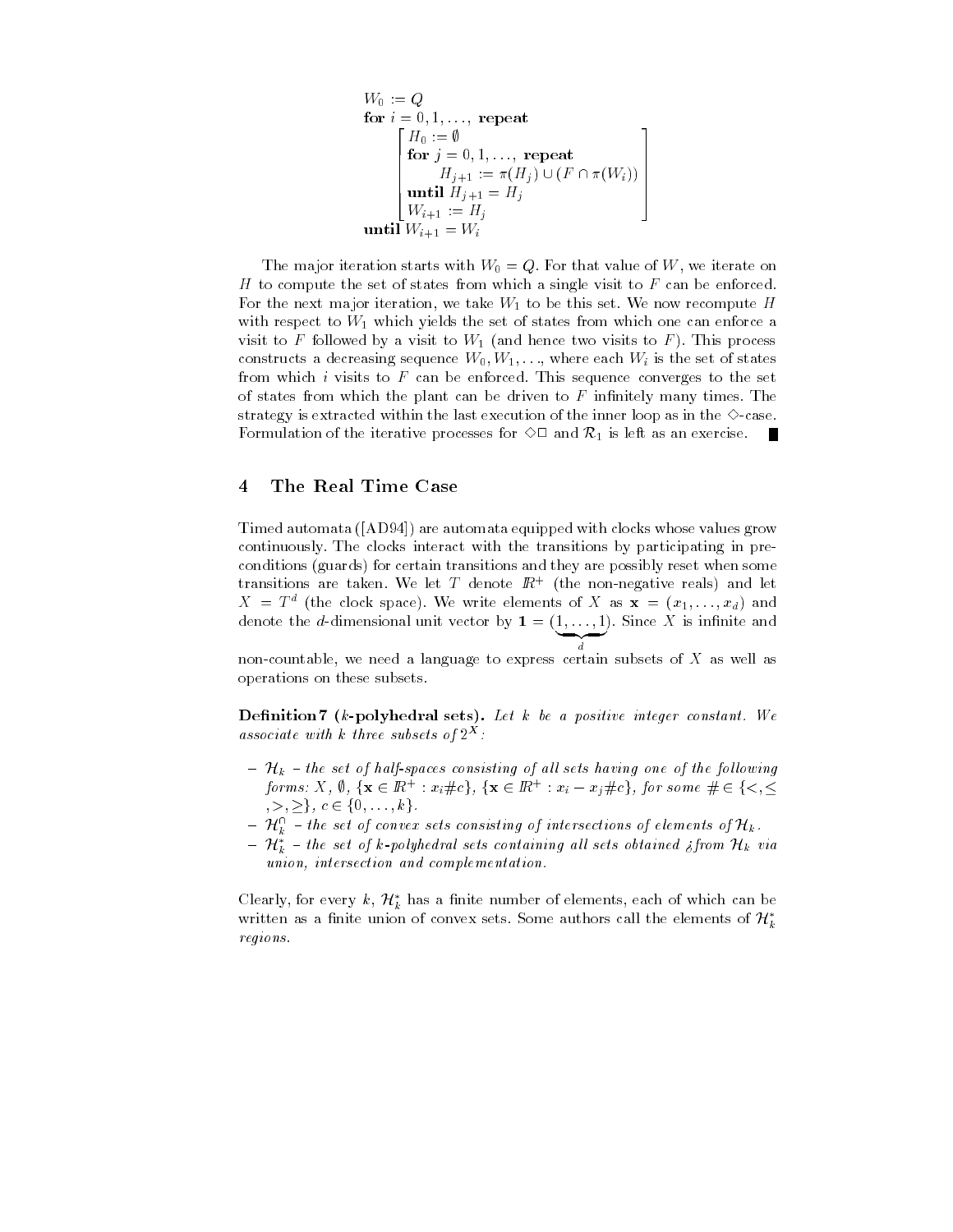$$
W_0 := Q
$$
  
\n**for**  $i = 0, 1, ...,$  **repeat**  
\n**for**  $j = 0, 1, ...,$  **repeat**  
\n**for**  $j = 0, 1, ...,$  **repeat**  
\n**Hinti**  $H_{j+1} := \pi(H_j) \cup (F \cap \pi(W_i))$   
\n**until**  $W_{i+1} := H_j$   
\n**until**  $W_{i+1} = W_i$ 

The major iteration starts with W Q- For that value of W we iterate on H to compute the set of states from which a single visit to <sup>F</sup> can be enforced-For the next major features with we take W to be this set. We now recompute H with respect to  $W_1$  which yields the set of states from which one can enforce a visit to F followed by a visit to  $W_1$  (and hence two visits to F  $\mu$  -fine process constructs a decreasing sequence  $w_0, w_1, \ldots$  where each  $w_i$  is the set of states from which <sup>i</sup> visits to <sup>F</sup> can be enforced- This sequence converges to the set of states from which the plant can be driven to F innifelery many times-File strategy is extracted within the last execution of the inner loop as in the  $\gamma$  case. Formulation of the iterative processes for  $\Diamond \Box$  and  $\mathcal{R}_1$  is left as an exercise.

## The Real Time Case

Timed automata  $(AD 94)$  are automata equipped with clocks whose values grow continuously-the continuously-the continuously-the transitions by participating in presentations by participating in conditions (guards) for certain transitions and they are possibly reset when some  $t$ ransitions are taken. We let  $T$  denote  $T$  (the non-negative reals) and let  $X = T^*$  (the clock space). We write elements of X as  $\mathbf{x} = (x_1, \ldots, x_d)$  and denote the *a*-dimensional unit vector by  $\mathbf{r} = (1, \ldots, 1)$ , since  $\Lambda$  is infinite and  $\alpha$ 

de la construcción de la construcción de la construcción de la construcción de la construcción de la construcción de la construcción de la construcción de la construcción de la construcción de la construcción de la constru non countable we need a language to express certain subsets of it as well well operations on these subsets-

**political** sets and polyhedral sets provided to the provided through the constant West and Department West of the associate with  $\kappa$  three subsets of  $2^{**}$  :

- $H_k$  the set of half-spaces consisting of all sets having one of the following  $\mathcal{H}_k$  - the set of half-spaces consisting of all sets having one of the following<br>forms: X, Ø, { $\mathbf{x} \in I\!\!R^+ : x_i \# c$ }, { $\mathbf{x} \in I\!\!R^+ : x_i - x_j \# c$ }, for some  $\# \in \{<, < \}$  $\{ >, > \}$ ,  $c \in \{0, \ldots, k\}$ .  $f-he\ set\ of\ ms\colon X,\ \emptyset,\ \{:\ \geq\},\ c\in\{0,$
- $+$   ${\cal H}^{\cap}_k$  the set of convex sets consisting of intersections of elements of  ${\cal H}_k$ .
- $\mathcal{H}^*_k$  the set of k-polyhedral sets containing all sets obtained ifrom  $\mathcal{H}_k$  via  $union,$  intersection and complementation.

Clearly, for every  $k$  ,  $\mathcal{H}^*_k$  has a finite number of elements, each of which can be written as a finite union of convex sets. Some authors call the elements of  $\mathcal{H}_k^*$ regions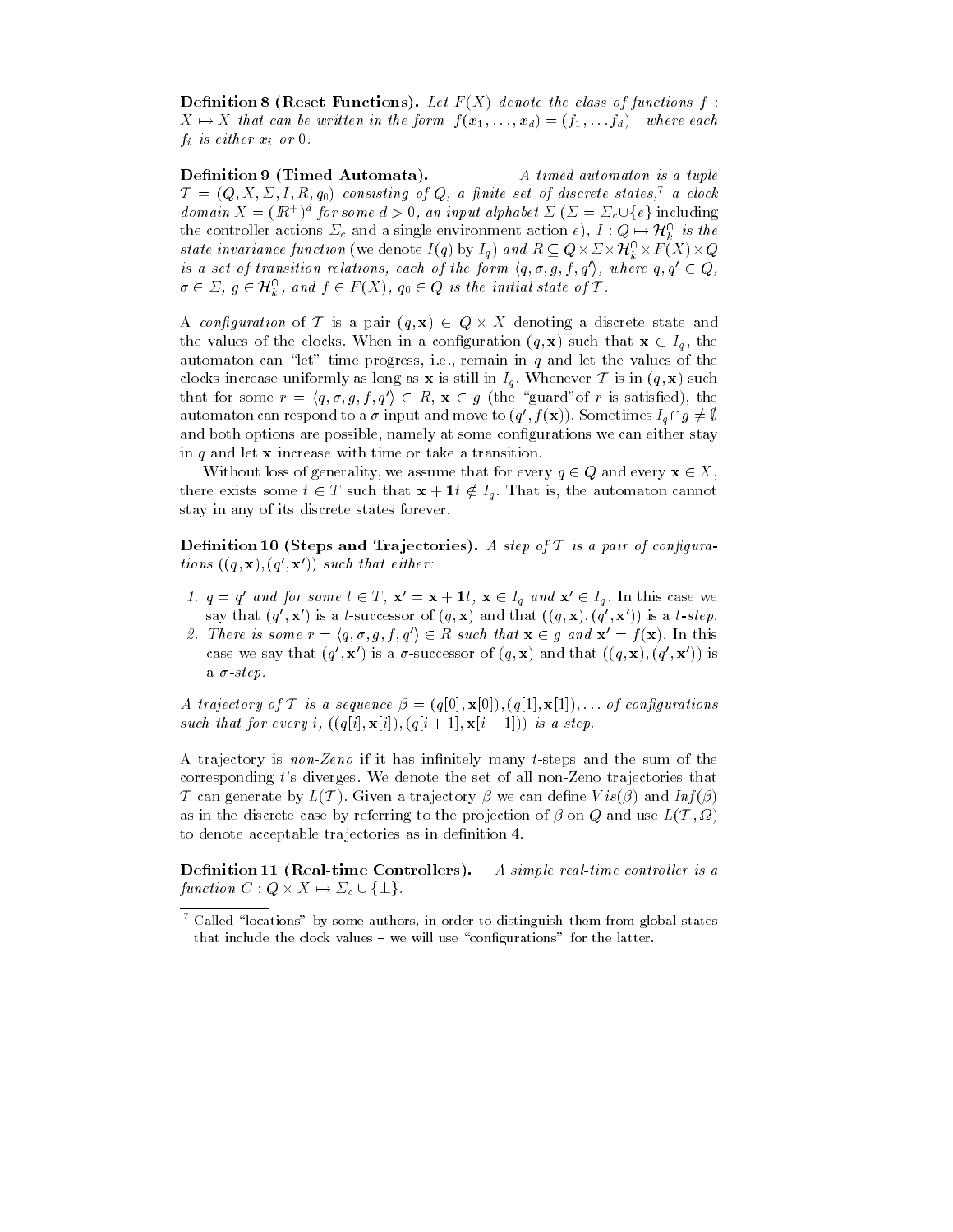De-nition Reset Functions Let <sup>F</sup> X denote the class of functions <sup>f</sup>  $X \mapsto X$  that can be written in the form  $f(x_1, \ldots, x_d) = (f_1, \ldots, f_d)$  where each fi is either xi or

De-nition Timed Automata A timed automaton is a tuple  $\mathcal{T} = (Q, X, \Sigma, I, R, q_0)$  consisting of Q, a finite set of discrete states, a clock domain  $X = (\mathbb{R}^+)^d$  for some  $d > 0$ , an input alphabet  $\Sigma(\Sigma = \Sigma_c \cup \{e\})$  including  $\sum_{i=1}^{n}$  the controller  $\sum_{i=1}^{n}$  is the controller action  $\sum_{i=1}^{n}$  is the controller set of  $\sum_{i=1}^{n}$ onsisting of Q, a finite set of discrete states,<sup>7</sup> a close one  $d > 0$ , an input alphabet  $\Sigma$  ( $\Sigma = \Sigma_c \cup \{e\}$ ) includi<br>and a single environment action e),  $I: Q \mapsto \mathcal{H}_u^{\Omega}$  is a state invariance function (we denote  $I(q)$  by  $I_q$ ) and  $R \subseteq Q \times \Sigma \times \mathcal{H}_k^0 \times F(X) \times Q$ <br>is a set of transition relations, each of the form  $\langle q, \sigma, g, f, q' \rangle$ , where  $q, q' \in Q$ ,<br> $\sigma \in \Sigma$ .  $q \in \mathcal{H}_k^0$ . and  $f \in F(X)$ .  $q_0 \in Q$ is a set of transition relations, each of the form  $\langle q, \sigma, q, f, q' \rangle$ , where  $q, q' \in Q$ ,  $\sigma \in \Sigma$ ,  $g \in \mathcal{H}_k^{\cap}$ , and  $f \in F(X)$ ,  $q_0 \in Q$  is the initial state of  $\mathcal{T}.$ 

A configuration of T is a pair  $(q, \mathbf{x}) \in Q \times X$  denoting a discrete state and the values of the clocks. When in a configuration  $(q, \mathbf{x})$  such that  $\mathbf{x} \in I_q$ , the automaton can let this progress is characterized it and the values of the clocks increase uniformly as long as **x** is still in  $I_q$ . Whenever T is in  $(q, \mathbf{x})$  such that for some  $r = \langle q, \sigma, q, f, q' \rangle \in R$ ,  $\mathbf{x} \in q$  (the "guard" of r is satisfied), the ogres<br>ong a<br>α'\ ∈ automaton can respond to a  $\sigma$  input and move to  $(q', f(\mathbf{x}))$ . Sometimes  $I_q \cap q \neq \emptyset$ and both options are possible, namely at some configurations we can either stay in  $q$  and let  $x$  increase with time or take a transition.

Without loss of generality, we assume that for every  $q \in Q$  and every  $\mathbf{x} \in X$ , there exists some  $t \in T$  such that  $\mathbf{x} + \mathbf{1}t \notin I_q$ . That is, the automaton cannot stay in any of its discrete states forever.

**Definition 10 (Steps and Trajectories).** A step of T is a pair of configurations  $((q, \mathbf{x}), (q, \mathbf{x}))$  such that either:

- 1.  $q = q'$  and for some  $t \in T$ ,  $\mathbf{x}' = \mathbf{x} + \mathbf{1}t$ ,  $\mathbf{x} \in I_q$  and  $\mathbf{x}' \in I_q$ . In this case we<br>say that  $(q', \mathbf{x}')$  is a t-successor of  $(q, \mathbf{x})$  and that  $((q, \mathbf{x}), (q', \mathbf{x}'))$  is a t-step.<br>2. There is some  $r = (q, \sigma, q, f, q$ say that  $(g_-, \mathbf{x}_+)$  is a  $\iota$ -successor of  $(g_+, \mathbf{x})$  and that  $((g_+, \mathbf{x}), (g_-, \mathbf{x}_+))$  is a  $\iota$ -step.
- 2. There is some  $r = \langle q, \sigma, g, f, q' \rangle \in R$  such that  $\mathbf{x} \in g$  and  $\mathbf{x}' = f(\mathbf{x})$ . In this case we say that  $(q_1, \mathbf{x})$  is a  $\theta$ -successor of  $(q_1, \mathbf{x})$  and that  $((q_1, \mathbf{x}), (q_2, \mathbf{x}))$  is a -step

A trajectory of T is a sequence  $\beta = (q[0], \mathbf{x}[0]), (q[1], \mathbf{x}[1]), \ldots$  of configurations such that for every it tightiles that i sites i sight is a step  $\cdot$ 

A trajectory is non-Zeno if it has innitely many <sup>t</sup>steps and the sum of the corresponding the divergest the denote the set of all non-heno trajectories that T can generate by  $L(\mathcal{T})$ . Given a trajectory  $\beta$  we can define  $Vis(\beta)$  and  $Inf(\beta)$ as in the discrete case by referring to the projection of  $\beta$  on Q and use  $L(\mathcal{T}, \Omega)$ to denote acceptable trajectories as in definition 4.

De-nition Real
time Controllers A simple real-A simple real-time controller is a function  $C: Q \times X \mapsto \Sigma_c \cup \{$ .  $\begin{array}{c} \text{e Contr} \ \cup \{\bot\}. \end{array}$ 

<sup>. .</sup> Ualled "locations" by some authors, in order to distinguish them from global states that include the clock values we will use con gurations for the latter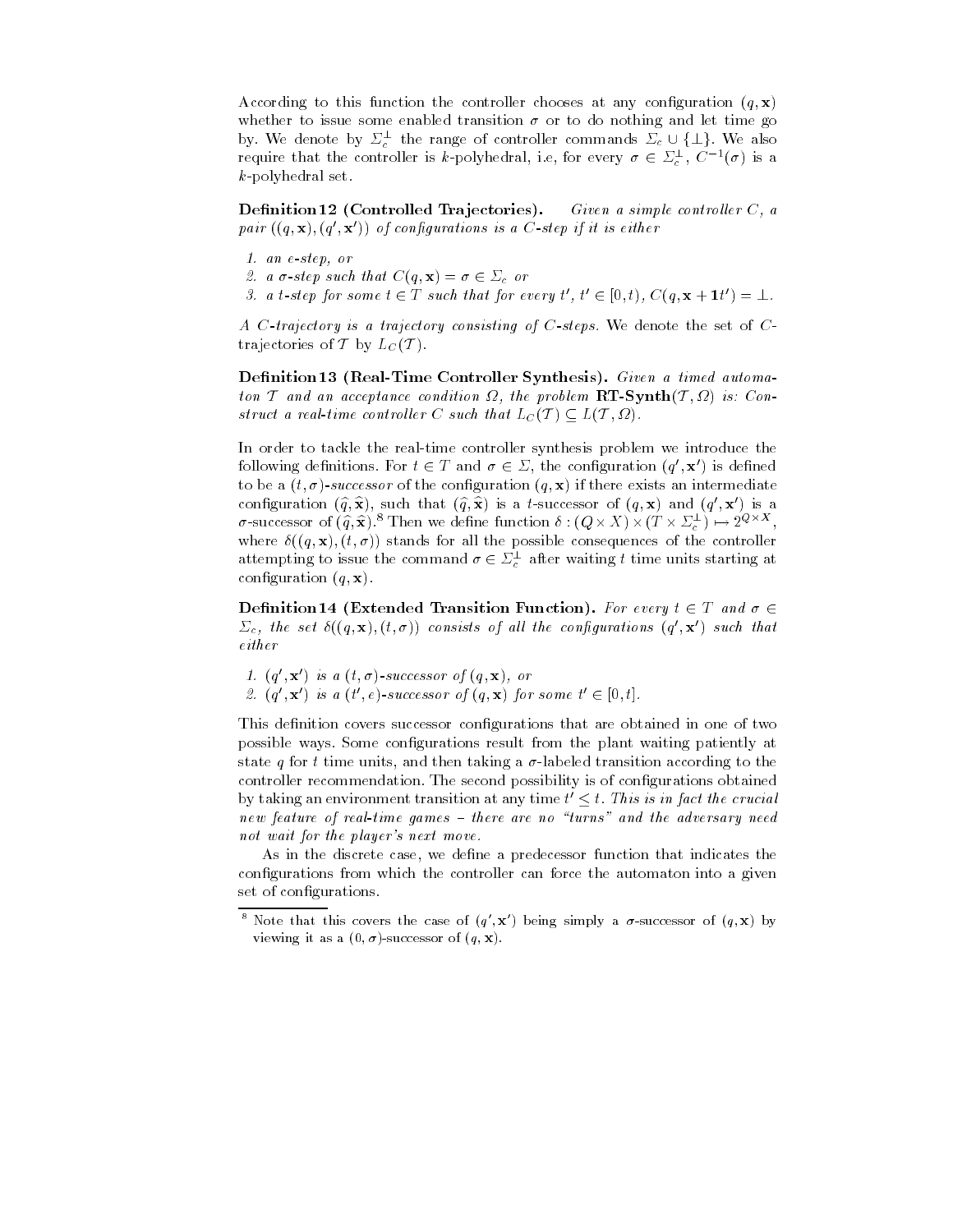According to this function the controller chooses at any conguration q- x whether to issue some enabled transition  $\sigma$  or to do nothing and let time go According to this function the controller chooses at any configuration  $(q, \mathbf{x})$  whether to issue some enabled transition  $\sigma$  or to do nothing and let time go by. We denote by  $\Sigma_c^{\perp}$  the range of controller commands  $\tilde{}$ require that the controller is k-polyhedral, i.e, for every  $\sigma \in \Sigma_c^{\perp}$ ,  $C^{-1}(\sigma)$  is a k polyhedral set-

 $D$  changed  $D$  is a control control  $D$  and  $D$  and  $D$  are  $D$  and  $D$  and  $D$  and  $D$  are  $D$  and  $D$  and  $D$  and  $D$  and  $D$  and  $D$  and  $D$  and  $D$  and  $D$  and  $D$  and  $D$  and  $D$  and  $D$  and  $D$  and  $D$  and  $D$  and pair  $((q, \mathbf{x}), (q, \mathbf{x}))$  of configurations is a  $C$ -step if it is either

- an e-step or
- 2. a  $\sigma$ -step such that  $C(q, \mathbf{x}) = \sigma \in \Sigma_c$  or
- 3. a t-step for some  $t \in T$  such that for every  $t', t' \in [0,t)$ ,  $C(q, \mathbf{x} + \mathbf{1}t') = \bot$ .

A C-trajectory is a trajectory consisting of C-steps We denote the set of <sup>C</sup>trajectories of T by  $L_C(T)$ .

De-nition Real
Time Controller Synthesis Given a timed automaton T and an acceptance condition  $\Omega$ , the problem  $\mathbf{RT}\text{-}\mathbf{Synth}(T,\Omega)$  is: Construct a real-time controller C such that  $L_C(T) \subset L(T,\Omega)$ .

In order to tackle the real time controller synthesis problem we introduce the following definitions. For  $t \in T$  and  $\sigma \in \Sigma$ , the configuration  $(q', \mathbf{x}')$  is defined to be a  $(t, v)$ -successor of the configuration  $(q, \mathbf{x})$  if there exists an intermediate configuration  $(g, \mathbf{x})$ , such that  $(g, \mathbf{x})$  is a *t*-successor of  $(g, \mathbf{x})$  and  $(g, \mathbf{x})$  is a  $\sigma$ -successor of  $(\hat{q}, \hat{\mathbf{x}})$ .<sup>8</sup> Then we define function  $\delta : (Q \times X) \times (T \times \Sigma_c^{\perp}) \mapsto 2^{Q \times X}$ ,  $\begin{pmatrix} a & b \\ c & d \end{pmatrix}$  at and for all the possible consequences of the where  $g(t, \mathbf{x})$ ,  $(t, \sigma)$  stands for all the possible consequences of the controller attempting to issue the command  $\sigma \in \Sigma_c^{\perp}$  after waiting t time units starting at conguration q- x-

**Definition 14 (Extended Transition Function).** For every  $t \in T$  and  $\sigma \in$  $\mathcal{L}_c$ , the set  $o((q, \mathbf{x}), (t, \sigma))$  consists of all the configurations  $(q_-, \mathbf{x}_+)$  such that either

- 1.  $(q, \mathbf{x})$  is a  $(t, \sigma)$ -successor of  $(q, \mathbf{x})$ , or
- 2.  $(q', \mathbf{x}')$  is a  $(t', e)$ -successor of  $(q, \mathbf{x})$  for some  $t' \in [0, t]$ .

This definition covers successor configurations that are obtained in one of two possible ways- Some congurations result from the plant waiting patiently at state <sup>q</sup> for <sup>t</sup> time units and then taking a labeled transition according to the controller recommendation- The second possibility is of congurations obtained by taking an environment transition at any time  $t' < t$ . This is in fact the crucial new feature of real-time games the adversary needs the adversary needs the adversary needs the adversary need not wait for the player's next move.

As in the discrete case, we define a predecessor function that indicates the configurations from which the controller can force the automaton into a given set of configurations.

<sup>~</sup> Note that this covers the case of  $(q_1, \mathbf{X}_+)$  being simply a  $\sigma$ -successor of  $(q_1, \mathbf{X}_+)$  by  $\alpha$  is the contract of  $\alpha$  (being constantly and  $\alpha$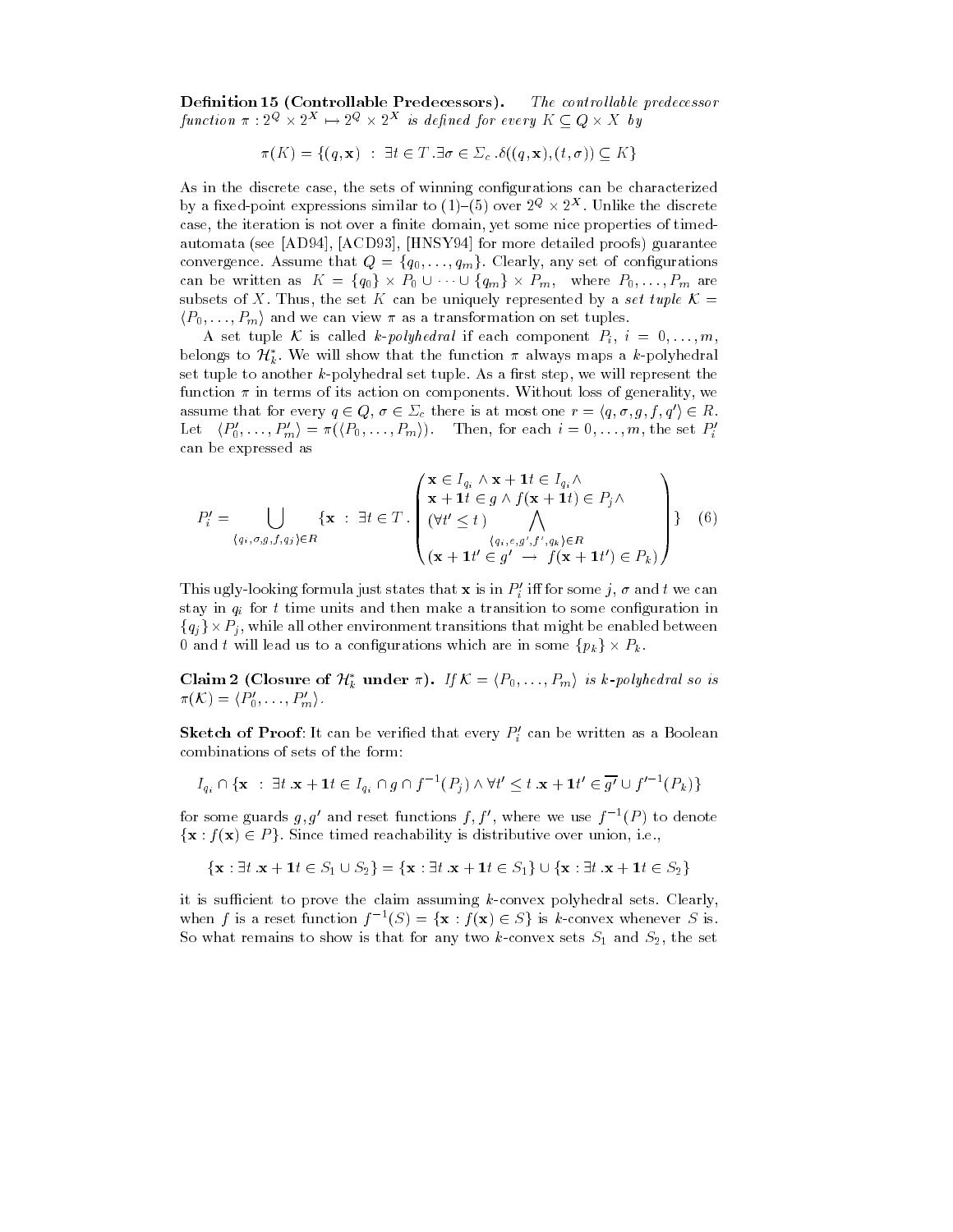De-nition Controllable Predecessors The control lable predecessor function  $\pi: 2^Q \times 2^X \mapsto 2^Q \times 2^X$  is defined for every  $K \subseteq Q \times X$  by

$$
\pi(K) = \{(q, \mathbf{x}) \ : \ \exists t \in T \, . \exists \sigma \in \Sigma_c \, . \delta((q, \mathbf{x}), (t, \sigma)) \subseteq K\}
$$

As in the discrete case, the sets of winning configurations can be characterized by a fixed-point expressions similar to  $(1)$ – $(5)$  over  $2^Q \times 2^X$ . Unlike the discrete case, the iteration is not over a finite domain, yet some nice properties of timedautomata (see [AD94], [ACD93], [HNSY94] for more detailed proofs) guarantee convergence. Assume that  $Q = \{q_0, \ldots, q_m\}$ . Clearly, any set of configurations automata (see [AD94], [ACD93], [HNSY94] for mo:<br>convergence. Assume that  $Q = \{q_0, \ldots, q_m\}$ . Clear<br>can be written as  $K = \{q_0\} \times P_0 \cup \cdots \cup \{q_m\} \times$  $m_1$ , where  $m_0$ ,  $m_1$ ,  $m_2$  are subsets of X. Thus, the set K can be uniquely represented by a set tuple  $\mathcal{K} =$  $\langle P_0, \ldots, P_m \rangle$  and we can view  $\pi$  as a transformation on set tuples.

A set tuple K is called k-polyhedral if each component  $P_i$ ,  $i = 0, \ldots, m$ , belongs to  $\mathcal{H}_k^*$ . We will show that the function  $\pi$  always maps a  $k$ -polyhedral set tuple to another a polyhedral set tuple-inc a meat step as a rint teptement the function in terms of its action on components- Without loss of generality we assume that for every  $q \in Q$ ,  $\sigma \in \Sigma_c$  there is at most one  $r = \langle q, \sigma, g, f, q' \rangle \in R$ . sent<br>ulity,<br>a'∑∈ Let  $\langle P'_0, \ldots, P'_m \rangle = \pi(\langle P_0, \ldots, P_m \rangle)$ . Then, for each  $i = 0, \ldots, m$ , the set  $P'_i$ can be expressed as

$$
P'_{i} = \bigcup_{(q_{i},\sigma,g,f,q_{j})\in R} \{ \mathbf{x} : \exists t \in T \cdot \begin{pmatrix} \mathbf{x} \in I_{q_{i}} \land \mathbf{x} + \mathbf{1}t \in I_{q_{i}} \land \\ \mathbf{x} + \mathbf{1}t \in g \land f(\mathbf{x} + \mathbf{1}t) \in P_{j} \land \\ (\forall t' \leq t) \land \\ (\mathbf{x} + \mathbf{1}t' \in g' \rightarrow f(\mathbf{x} + \mathbf{1}t') \in P_{k}) \end{pmatrix} \} \quad (6)
$$

This ugly-looking formula just states that **x** is in  $P_i$  in for some j, a and t we can istay in  $q_i$  for t time units and then make a transition to some configuration in  $\{q_j\} \times P_j$ , while all other environment transitions that might be enabled between 0 and t will lead us to a configurations which are in s  $\{q_i\}\times P_i$ , while all other environment transitions that might be enabled between 0 and t will lead us to a configurations which are in some  $\{p_k\} \times P_k$ .

Claim 2 (Closure of  $\mathcal{H}_k^*$  under  $\pi$ ). If  $\mathcal{K} = \langle P_0, \ldots, P_m \rangle$  is k-polyhedral so is  $\pi(\mathcal{K}) = \langle P'_0, \ldots, P'_m \rangle$ .

**Sketch of Proof**: It can be verified that every  $P_i$  can be written as a Boolean  $\sim$ mbinations of sets of the form:<br>  $I_{q_i} \cap {\mathbf{x} : \exists t . \mathbf{x} + \mathbf{1}t \in I_{q_i} \cap g \cap f^{-1}(P_j)}$  $\begin{aligned} \n\mathbf{v} \times \mathbf{v} \n\end{aligned}$ 

$$
I_{q_i} \cap \{ \mathbf{x} \ : \ \exists t \ . \mathbf{x} + \mathbf{1}t \in I_{q_i} \cap g \cap f^{-1}(P_j) \land \forall t' \le t \ . \mathbf{x} + \mathbf{1}t' \in \overline{g'} \cup f'^{-1}(P_k) \}
$$

for some guards  $q$ ,  $q$  and reset functions  $f,f$  , where we use  $f^{-}(f)$  to denote  $\{x : f(x) \in P\}$ . Since timed reachability is distributive over union, i.e.,

$$
\{\mathbf x : \exists t \cdot \mathbf x + \mathbf 1t \in S_1 \cup S_2\} = \{\mathbf x : \exists t \cdot \mathbf x + \mathbf 1t \in S_1\} \cup \{\mathbf x : \exists t \cdot \mathbf x + \mathbf 1t \in S_2\}
$$

it is sumicront to prove the claim assuming a convex polyhedral sets. Clearly, when f is a reset function  $f^{-1}(S) = {\mathbf{x} : f(\mathbf{x}) \in S}$  is k-convex whenever S is.  $S$  what remains to show is that for any two kconvex sets  $S_1$  and  $S_4$  the set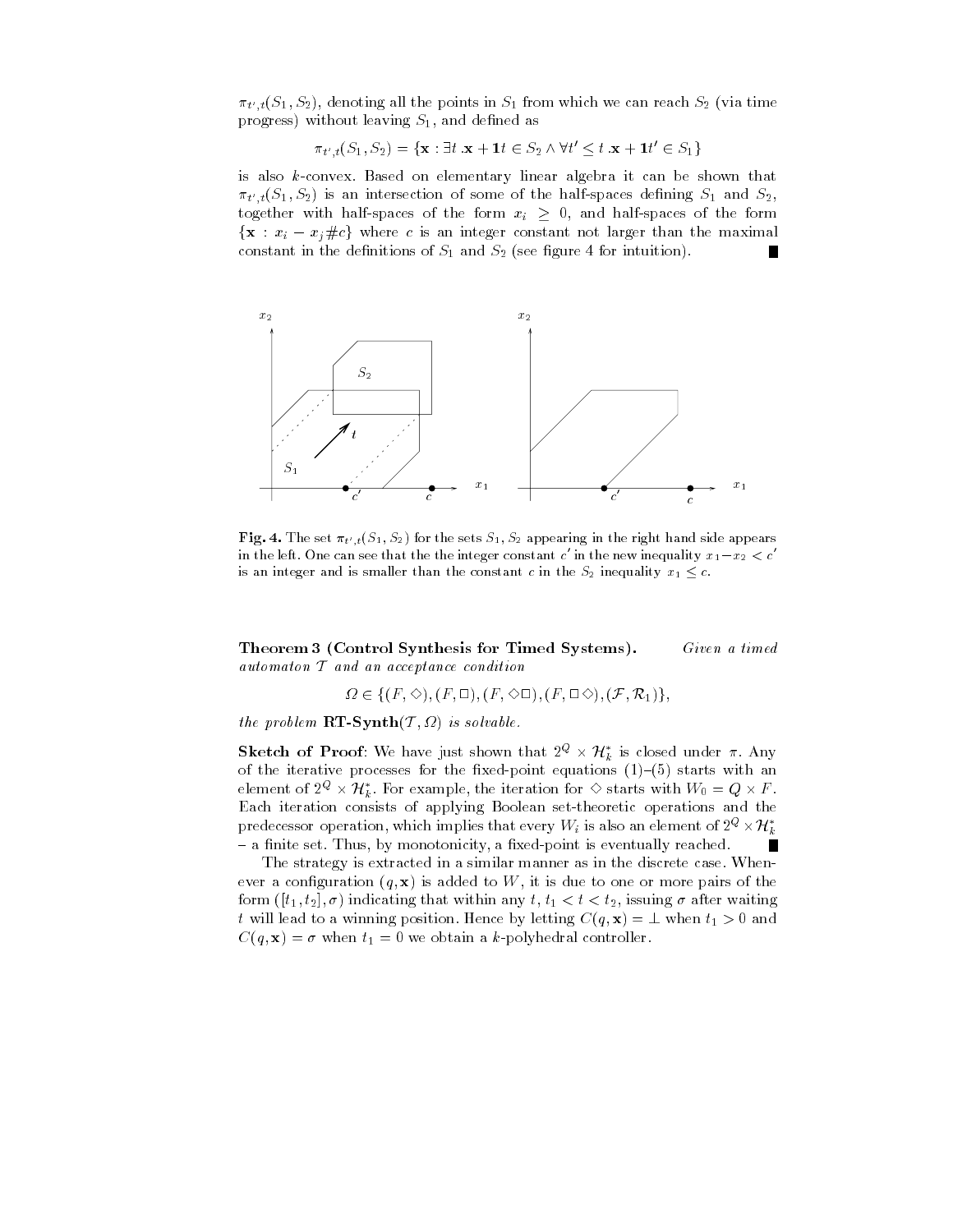$\pi_{t',t}(S_1, S_2)$ , denoting an the points in  $S_1$  from which we can reach  $S_2$  (via time<br>progress) without leaving  $S_1$ , and defined as<br> $\pi_{t',t}(S_1, S_2) = {\mathbf{x} : \exists t : \mathbf{x} + \mathbf{1}t \in S_2 \land \forall t' < t : \mathbf{x} + \mathbf{1}t' \in S_1}$ progress) without leaving  $S_1$ , and defined as

$$
\pi_{t',t}(S_1, S_2) = \{ \mathbf{x} : \exists t \, \mathbf{x} + \mathbf{1}t \in S_2 \land \forall t' \le t \, \mathbf{x} + \mathbf{1}t' \in S_1 \}
$$

is also n conficil based on clementary milest algebra it can be shown that  $\frac{n_t}{l}$ ,  $\frac{n_t}{s}$ ,  $\frac{n_t}{s}$  is an intersection of some of the half-spaces defining  $\frac{n_t}{s}$  and  $\frac{n_t}{s}$ together with half-spaces of the form  $x_i > 0$ , and half-spaces of the form  $\{x : x_i - x_j \#c\}$  where c is an integer constant not larger than the maximal constant in the denitions of S and S- see gure for intuition-



 $\mathbf{F}$  . The set  $\mathcal{F}_{t}$  (st) s  $\mathcal{F}_{t}$  for the sets s  $\mathcal{F}_{t}$  appearing in the right hand side appears in the left. One can see that the the integer constant  $c$  in the new inequality  $x_1\!-\!x_2 < c$ is an integer and is smaller than the constant c in the S-part party  $x_1$  ,  $\cdots$ 

Theorem 3 (Control Synthesis for Timed Systems). Given a timed automaton T and an acceptance condition<br>  $\Omega \in \{ (F, \Diamond), (F, \Box), (F, \Diamond \Box), (F, \Diamond \Box) \}$ 

$$
\Omega \in \{ (F, \diamondsuit), (F, \square), (F, \diamondsuit \square), (F, \square \diamondsuit), (\mathcal{F}, \mathcal{R}_1) \},
$$

the problem  $\mathbf{RT}\text{-}\mathbf{Synth}(T,Q)$  is solvable.

the problem  $\mathbf{RT}\text{-}\mathbf{Synth}(\mathcal{T},\varOmega)$  is solvable.<br>Sketch of Proof: We have just shown that  $2^Q\times\mathcal{H}_k^*$  is closed under  $\pi$ . Any of the iterative processes for the xed point equations starts with an element of  $2^Q \times \mathcal{H}_k^*$ . For example, the iteration for  $\diamondsuit$  starts with  $W_0 = Q \times F$ .  $\operatorname*{proc}_{\mathcal{H}_{k}^{*}}$ Each iteration consists of applying Boolean set theoretic operations and the predecessor operation, which implies that every  $W_i$  is also an element of  $2^Q \times \mathcal{H}_k^*$ a nite set-monotonicity a monotonicity a xed-monotonicity a xed-monotonicity a xed-monotonicity a xed-monotonic

The strategy is extracted in a similar manner as in the discrete case- When ever a comiguration  $(q_1 x)$  is added to  $n_1$  is is due to one or more pairs or the form  $(\lceil t_1, t_2 \rceil, \sigma)$  murtating that within any  $t, t_1 \leq t \leq t_2$ , issuing  $\sigma$  after waiting t will lead to a winning position. Hence by letting  $C(q, \mathbf{x}) = \bot$  when  $t_1 > 0$  and C(y) a when  $\epsilon_1$  we obtain a kpolyhedral controller.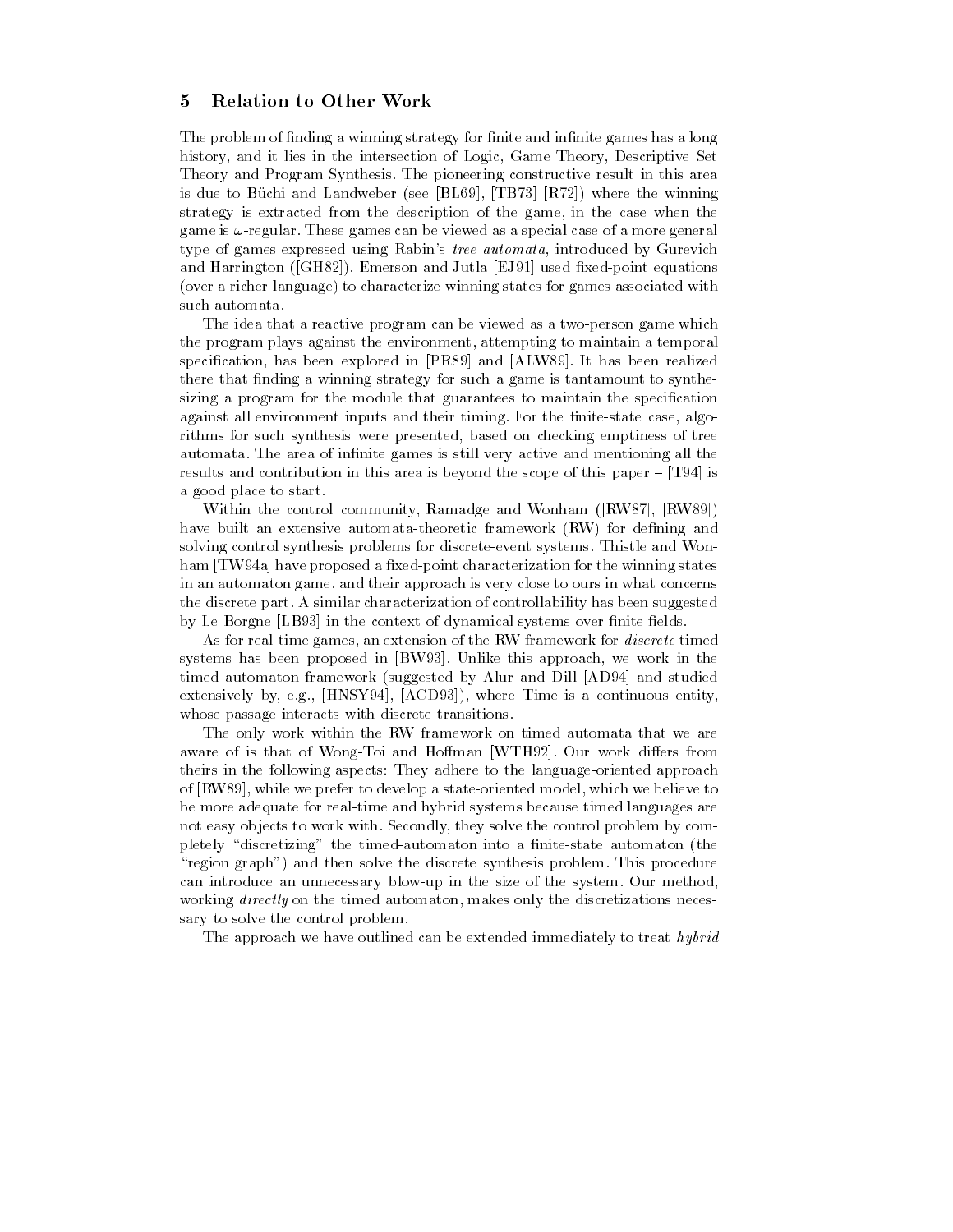### 5 Relation to Other Work

The problem of finding a winning strategy for finite and infinite games has a long history, and it lies in the intersection of Logic, Game Theory, Descriptive Set Theory and Program Synthesis- The pioneering constructive result in this area is due to Büchi and Landweber (see [BL69],  $[TB73]$   $[R72]$ ) where the winning strategy is extracted from the description of the game, in the case when the games regular- these games can be viewed as special case of a more general type of games expressed using Rabin's tree automata, introduced by Gurevich and Harrington Germany and Jutla Emerson and Jutla Emerson and Jutla Emerson and Jutla Emerson and Jutla Emers (over a richer language) to characterize winning states for games associated with such automata.

The idea that a reaction program can be viewed as a two viewed as a two viewed as a two viewed as a two viewed as a two viewed as a two viewed as a two viewed as a two viewed as a two viewed as a two viewed as a two viewe the program plays against the environment, attempting to maintain a temporal species and the best completed in Provide in Providence and ALW - and ALW - and ALW - and ALW - and ALW - and there that finding a winning strategy for such a game is tantamount to synthesizing a program for the module that guarantees to maintain the specication against an the chainstat inputs and their timing- with the nites algoes and the night rithms for such synthesis were presented, based on checking emptiness of tree automata- The area of innite games is still very active and mentioning all the results and contribution in this area is beyond the scope of this paper  $-$  [T94] is a good place to start.

Within the control community, Ramadge and Wonham  $\langle$ [RW87], [RW89]) have built an extensive automata theoretic framework RW for dening and solving control synthesis problems for discrete event systems- Thistle and Won ham TWa have proposed a xed point characterization for the winning states in an automaton game, and their approach is very close to ours in what concerns the discrete part- A similar characterization of controllability has been suggested by Le Borgne [LB93] in the context of dynamical systems over finite fields.

 $\mathcal{A}$ s for real time games and the RW framework for discrete time  $\mathcal{A}$ systems has been proposed in BW
- Unlike this approach we work in the timed automaton framework (suggested by Alur and Dill [AD94] and studied extensively by e-g-continuous entity is a continuous extensive that the continuous extensively in whose passage interacts with discrete transitions.

The only work within the RW framework on timed automata that we are aware of an international work discussions for where  $\mathbb{R}^n$  and working the state of  $\mathbb{R}^n$ theirs in the following aspects They adhere to the language oriented approach of RW while we prefer to develop a state oriented model which we believe to be more adequate for real time and hybrid systems because timed languages are not easy objects to work with- Secondly they solve the control problem by com pletely discretizing the timed automaton into a nite state automaton the region graph and then solve the discrete synthesis problem- This procedure can introduce an unnecessary blow up in the size of the system and international working *directly* on the timed automaton, makes only the discretizations necessary to solve the control problem.

The approach we have outlined can be extended immediately to treat hybrid